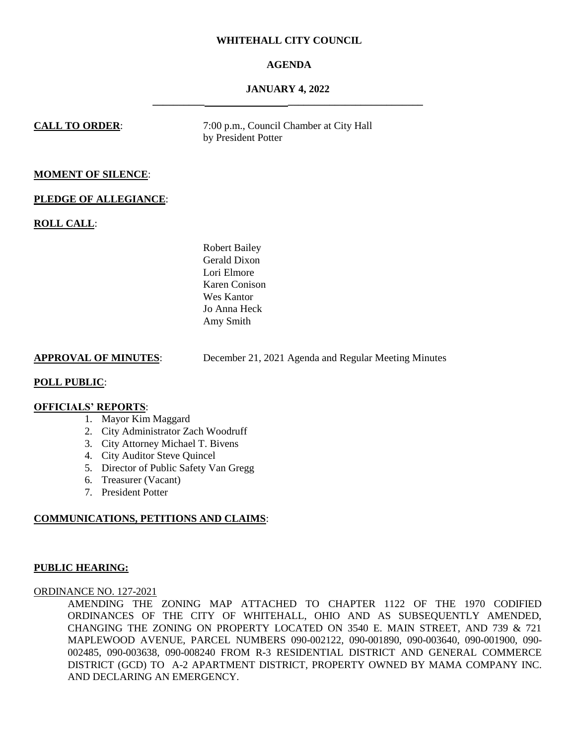### **WHITEHALL CITY COUNCIL**

# **AGENDA**

## **JANUARY 4, 2022 \_\_\_\_\_\_\_\_\_\_ \_\_\_\_\_\_\_\_\_\_\_\_\_\_\_\_\_\_\_\_\_\_\_\_\_\_**

**CALL TO ORDER:** 7:00 p.m., Council Chamber at City Hall by President Potter

### **MOMENT OF SILENCE**:

#### **PLEDGE OF ALLEGIANCE**:

### **ROLL CALL**:

Robert Bailey Gerald Dixon Lori Elmore Karen Conison Wes Kantor Jo Anna Heck Amy Smith

**APPROVAL OF MINUTES**: December 21, 2021 Agenda and Regular Meeting Minutes

### **POLL PUBLIC**:

### **OFFICIALS' REPORTS**:

- 1. Mayor Kim Maggard
- 2. City Administrator Zach Woodruff
- 3. City Attorney Michael T. Bivens
- 4. City Auditor Steve Quincel
- 5. Director of Public Safety Van Gregg
- 6. Treasurer (Vacant)
- 7. President Potter

### **COMMUNICATIONS, PETITIONS AND CLAIMS**:

#### **PUBLIC HEARING:**

ORDINANCE NO. 127-2021

AMENDING THE ZONING MAP ATTACHED TO CHAPTER 1122 OF THE 1970 CODIFIED ORDINANCES OF THE CITY OF WHITEHALL, OHIO AND AS SUBSEQUENTLY AMENDED, CHANGING THE ZONING ON PROPERTY LOCATED ON 3540 E. MAIN STREET, AND 739 & 721 MAPLEWOOD AVENUE, PARCEL NUMBERS 090-002122, 090-001890, 090-003640, 090-001900, 090- 002485, 090-003638, 090-008240 FROM R-3 RESIDENTIAL DISTRICT AND GENERAL COMMERCE DISTRICT (GCD) TO A-2 APARTMENT DISTRICT, PROPERTY OWNED BY MAMA COMPANY INC. AND DECLARING AN EMERGENCY.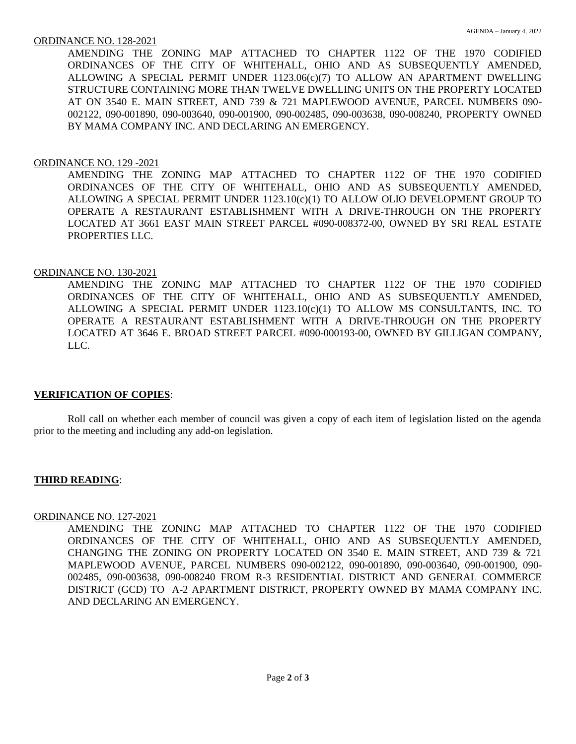AMENDING THE ZONING MAP ATTACHED TO CHAPTER 1122 OF THE 1970 CODIFIED ORDINANCES OF THE CITY OF WHITEHALL, OHIO AND AS SUBSEQUENTLY AMENDED, ALLOWING A SPECIAL PERMIT UNDER 1123.06(c)(7) TO ALLOW AN APARTMENT DWELLING STRUCTURE CONTAINING MORE THAN TWELVE DWELLING UNITS ON THE PROPERTY LOCATED AT ON 3540 E. MAIN STREET, AND 739 & 721 MAPLEWOOD AVENUE, PARCEL NUMBERS 090- 002122, 090-001890, 090-003640, 090-001900, 090-002485, 090-003638, 090-008240, PROPERTY OWNED BY MAMA COMPANY INC. AND DECLARING AN EMERGENCY.

## ORDINANCE NO. 129 -2021

AMENDING THE ZONING MAP ATTACHED TO CHAPTER 1122 OF THE 1970 CODIFIED ORDINANCES OF THE CITY OF WHITEHALL, OHIO AND AS SUBSEQUENTLY AMENDED, ALLOWING A SPECIAL PERMIT UNDER 1123.10(c)(1) TO ALLOW OLIO DEVELOPMENT GROUP TO OPERATE A RESTAURANT ESTABLISHMENT WITH A DRIVE-THROUGH ON THE PROPERTY LOCATED AT 3661 EAST MAIN STREET PARCEL #090-008372-00, OWNED BY SRI REAL ESTATE PROPERTIES LLC.

## ORDINANCE NO. 130-2021

AMENDING THE ZONING MAP ATTACHED TO CHAPTER 1122 OF THE 1970 CODIFIED ORDINANCES OF THE CITY OF WHITEHALL, OHIO AND AS SUBSEQUENTLY AMENDED, ALLOWING A SPECIAL PERMIT UNDER 1123.10(c)(1) TO ALLOW MS CONSULTANTS, INC. TO OPERATE A RESTAURANT ESTABLISHMENT WITH A DRIVE-THROUGH ON THE PROPERTY LOCATED AT 3646 E. BROAD STREET PARCEL #090-000193-00, OWNED BY GILLIGAN COMPANY, LLC.

## **VERIFICATION OF COPIES**:

Roll call on whether each member of council was given a copy of each item of legislation listed on the agenda prior to the meeting and including any add-on legislation.

## **THIRD READING**:

## ORDINANCE NO. 127-2021

AMENDING THE ZONING MAP ATTACHED TO CHAPTER 1122 OF THE 1970 CODIFIED ORDINANCES OF THE CITY OF WHITEHALL, OHIO AND AS SUBSEQUENTLY AMENDED, CHANGING THE ZONING ON PROPERTY LOCATED ON 3540 E. MAIN STREET, AND 739 & 721 MAPLEWOOD AVENUE, PARCEL NUMBERS 090-002122, 090-001890, 090-003640, 090-001900, 090- 002485, 090-003638, 090-008240 FROM R-3 RESIDENTIAL DISTRICT AND GENERAL COMMERCE DISTRICT (GCD) TO A-2 APARTMENT DISTRICT, PROPERTY OWNED BY MAMA COMPANY INC. AND DECLARING AN EMERGENCY.